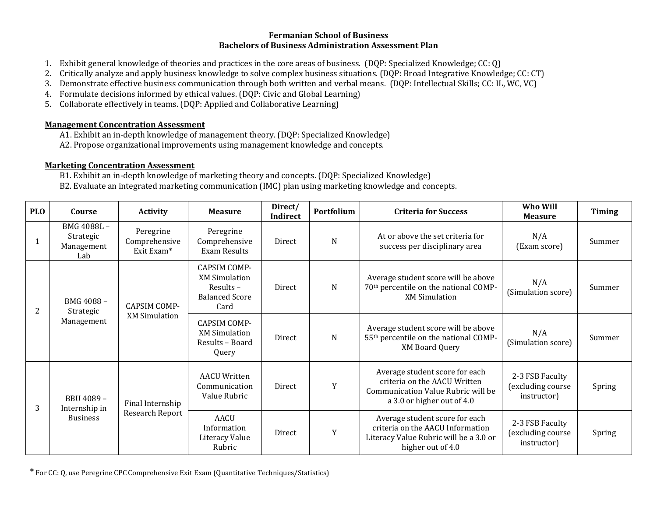## **Fermanian School of Business Bachelors of Business Administration Assessment Plan**

- 1. Exhibit general knowledge of theories and practices in the core areas of business. (DQP: Specialized Knowledge; CC: Q)
- 2. Critically analyze and apply business knowledge to solve complex business situations. (DQP: Broad Integrative Knowledge; CC: CT)
- 3. Demonstrate effective business communication through both written and verbal means. (DQP: Intellectual Skills; CC: IL, WC, VC)
- 4. Formulate decisions informed by ethical values. (DQP: Civic and Global Learning)
- 5. Collaborate effectively in teams. (DQP: Applied and Collaborative Learning)

## **Management Concentration Assessment**

- A1. Exhibit an in-depth knowledge of management theory. (DQP: Specialized Knowledge)
- A2. Propose organizational improvements using management knowledge and concepts.

## **Marketing Concentration Assessment**

B1. Exhibit an in-depth knowledge of marketing theory and concepts. (DQP: Specialized Knowledge) B2. Evaluate an integrated marketing communication (IMC) plan using marketing knowledge and concepts.

| <b>PLO</b> | Course                                        | <b>Activity</b>                             | <b>Measure</b>                                                                           | Direct/<br>Indirect | Portfolium | <b>Criteria for Success</b>                                                                                                        | Who Will<br><b>Measure</b>                          | Timing |
|------------|-----------------------------------------------|---------------------------------------------|------------------------------------------------------------------------------------------|---------------------|------------|------------------------------------------------------------------------------------------------------------------------------------|-----------------------------------------------------|--------|
|            | BMG 4088L-<br>Strategic<br>Management<br>Lab  | Peregrine<br>Comprehensive<br>Exit Exam*    | Peregrine<br>Comprehensive<br>Exam Results                                               | Direct              | N          | At or above the set criteria for<br>success per disciplinary area                                                                  | N/A<br>(Exam score)                                 | Summer |
| 2          | BMG 4088-<br>Strategic<br>Management          | <b>CAPSIM COMP-</b><br><b>XM Simulation</b> | <b>CAPSIM COMP-</b><br><b>XM Simulation</b><br>Results-<br><b>Balanced Score</b><br>Card | <b>Direct</b>       | N          | Average student score will be above<br>70 <sup>th</sup> percentile on the national COMP-<br><b>XM Simulation</b>                   | N/A<br>(Simulation score)                           | Summer |
|            |                                               |                                             | <b>CAPSIM COMP-</b><br><b>XM Simulation</b><br>Results - Board<br>Query                  | Direct              | N          | Average student score will be above<br>55 <sup>th</sup> percentile on the national COMP-<br><b>XM Board Query</b>                  | N/A<br>(Simulation score)                           | Summer |
| 3          | BBU 4089-<br>Internship in<br><b>Business</b> | Final Internship<br>Research Report         | <b>AACU Written</b><br>Communication<br>Value Rubric                                     | Direct              | Y          | Average student score for each<br>criteria on the AACU Written<br>Communication Value Rubric will be<br>a 3.0 or higher out of 4.0 | 2-3 FSB Faculty<br>(excluding course<br>instructor) | Spring |
|            |                                               |                                             | <b>AACU</b><br>Information<br>Literacy Value<br>Rubric                                   | Direct              | Y          | Average student score for each<br>criteria on the AACU Information<br>Literacy Value Rubric will be a 3.0 or<br>higher out of 4.0  | 2-3 FSB Faculty<br>(excluding course<br>instructor) | Spring |

\* For CC: Q, use Peregrine CPC Comprehensive Exit Exam (Quantitative Techniques/Statistics)